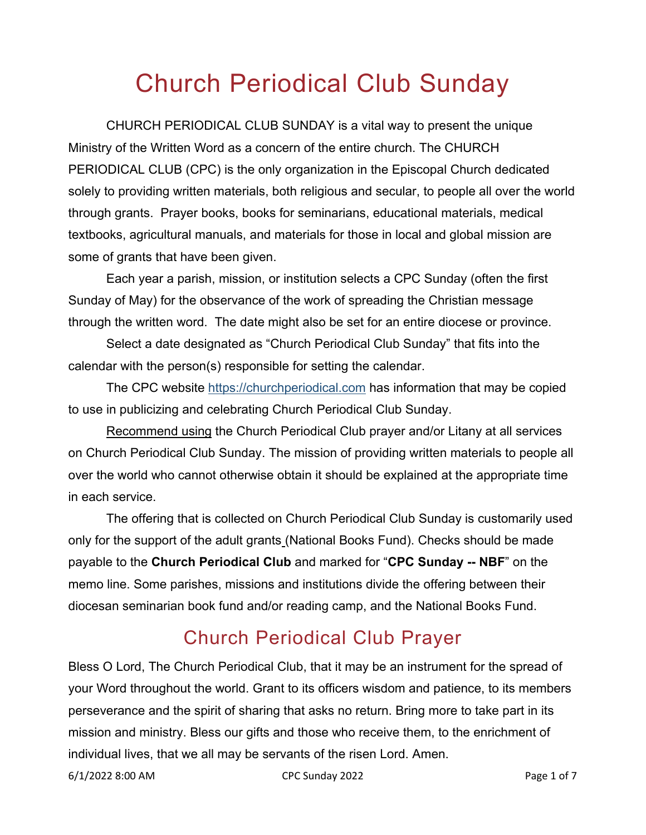## Church Periodical Club Sunday

CHURCH PERIODICAL CLUB SUNDAY is a vital way to present the unique Ministry of the Written Word as a concern of the entire church. The CHURCH PERIODICAL CLUB (CPC) is the only organization in the Episcopal Church dedicated solely to providing written materials, both religious and secular, to people all over the world through grants. Prayer books, books for seminarians, educational materials, medical textbooks, agricultural manuals, and materials for those in local and global mission are some of grants that have been given.

Each year a parish, mission, or institution selects a CPC Sunday (often the first Sunday of May) for the observance of the work of spreading the Christian message through the written word. The date might also be set for an entire diocese or province.

Select a date designated as "Church Periodical Club Sunday" that fits into the calendar with the person(s) responsible for setting the calendar.

The CPC website [https://churchperiodical.com](https://churchperiodical.com/) has information that may be copied to use in publicizing and celebrating Church Periodical Club Sunday.

Recommend using the Church Periodical Club prayer and/or Litany at all services on Church Periodical Club Sunday. The mission of providing written materials to people all over the world who cannot otherwise obtain it should be explained at the appropriate time in each service.

The offering that is collected on Church Periodical Club Sunday is customarily used only for the support of the adult grants (National Books Fund). Checks should be made payable to the **Church Periodical Club** and marked for "**CPC Sunday -- NBF**" on the memo line. Some parishes, missions and institutions divide the offering between their diocesan seminarian book fund and/or reading camp, and the National Books Fund.

## Church Periodical Club Prayer

Bless O Lord, The Church Periodical Club, that it may be an instrument for the spread of your Word throughout the world. Grant to its officers wisdom and patience, to its members perseverance and the spirit of sharing that asks no return. Bring more to take part in its mission and ministry. Bless our gifts and those who receive them, to the enrichment of individual lives, that we all may be servants of the risen Lord. Amen.

6/1/2022 8:00 AM CPC Sunday 2022 Page 1 of 7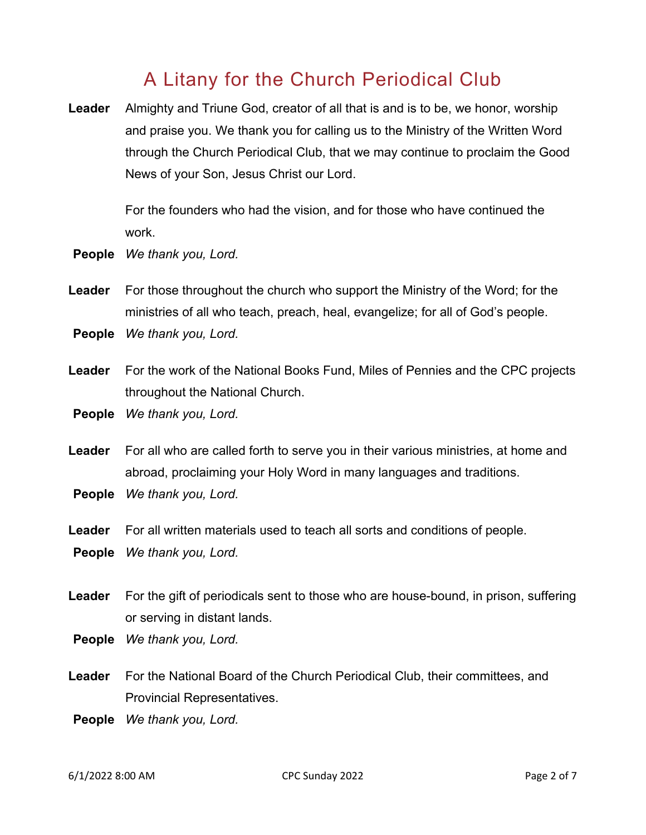#### A Litany for the Church Periodical Club

**Leader** Almighty and Triune God, creator of all that is and is to be, we honor, worship and praise you. We thank you for calling us to the Ministry of the Written Word through the Church Periodical Club, that we may continue to proclaim the Good News of your Son, Jesus Christ our Lord.

> For the founders who had the vision, and for those who have continued the work.

- **People** *We thank you, Lord.*
- **Leader** For those throughout the church who support the Ministry of the Word; for the ministries of all who teach, preach, heal, evangelize; for all of God's people.
- **People** *We thank you, Lord.*
- **Leader** For the work of the National Books Fund, Miles of Pennies and the CPC projects throughout the National Church.
- **People** *We thank you, Lord.*
- **Leader** For all who are called forth to serve you in their various ministries, at home and abroad, proclaiming your Holy Word in many languages and traditions.
- **People** *We thank you, Lord.*
- **Leader** For all written materials used to teach all sorts and conditions of people. **People** *We thank you, Lord.*
- **Leader** For the gift of periodicals sent to those who are house-bound, in prison, suffering or serving in distant lands.
- **People** *We thank you, Lord.*
- **Leader** For the National Board of the Church Periodical Club, their committees, and Provincial Representatives.
- **People** *We thank you, Lord.*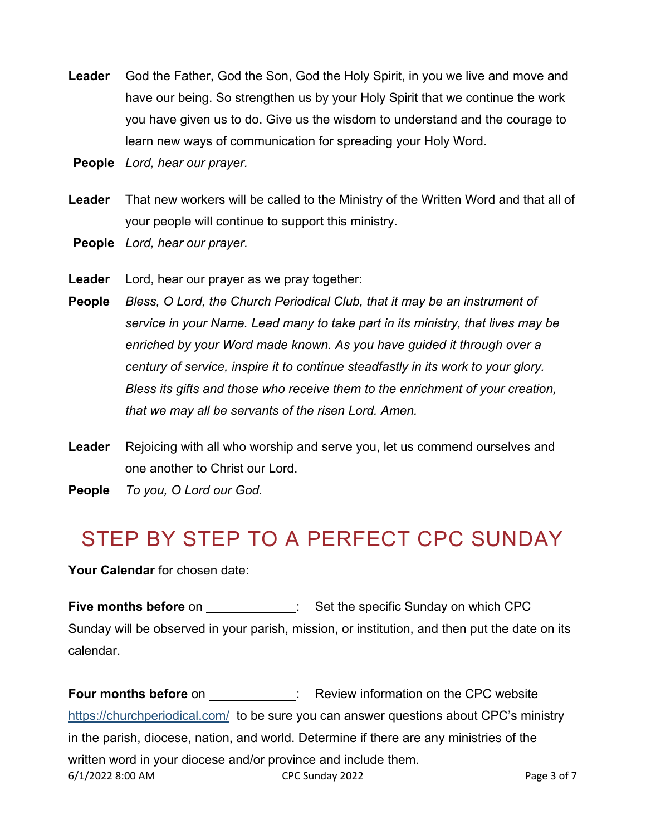- **Leader** God the Father, God the Son, God the Holy Spirit, in you we live and move and have our being. So strengthen us by your Holy Spirit that we continue the work you have given us to do. Give us the wisdom to understand and the courage to learn new ways of communication for spreading your Holy Word.
- **People** *Lord, hear our prayer.*
- **Leader** That new workers will be called to the Ministry of the Written Word and that all of your people will continue to support this ministry.
- **People** *Lord, hear our prayer.*
- **Leader** Lord, hear our prayer as we pray together:
- **People** *Bless, O Lord, the Church Periodical Club, that it may be an instrument of service in your Name. Lead many to take part in its ministry, that lives may be enriched by your Word made known. As you have guided it through over a century of service, inspire it to continue steadfastly in its work to your glory. Bless its gifts and those who receive them to the enrichment of your creation, that we may all be servants of the risen Lord. Amen.*
- **Leader** Rejoicing with all who worship and serve you, let us commend ourselves and one another to Christ our Lord.
- **People** *To you, O Lord our God.*

## STEP BY STEP TO A PERFECT CPC SUNDAY

**Your Calendar** for chosen date:

**Five months before** on : Set the specific Sunday on which CPC Sunday will be observed in your parish, mission, or institution, and then put the date on its calendar.

6/1/2022 8:00 AM CPC Sunday 2022 Page 3 of 7 **Four months before** on : Review information on the CPC website <https://churchperiodical.com/>to be sure you can answer questions about CPC's ministry in the parish, diocese, nation, and world. Determine if there are any ministries of the written word in your diocese and/or province and include them.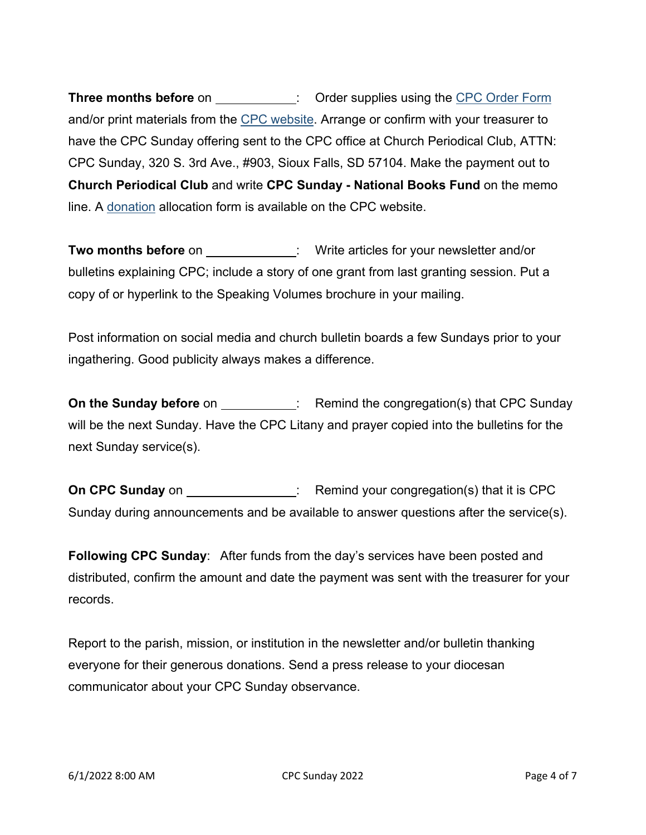**Three months before** on \_\_\_\_\_\_\_\_\_\_\_\_: Order supplies using the [CPC Order Form](https://churchperiodical.com/ORDER-FORM-FOR-CPC-MATERIALS-2022.pdf) and/or print materials from the [CPC website.](https://churchperiodical.com/) Arrange or confirm with your treasurer to have the CPC Sunday offering sent to the CPC office at Church Periodical Club, ATTN: CPC Sunday, 320 S. 3rd Ave., #903, Sioux Falls, SD 57104. Make the payment out to **Church Periodical Club** and write **CPC Sunday - National Books Fund** on the memo line. A [donation](https://churchperiodical.com/wp-content/uploads/2021/11/CPC_Gift_Allocation_Form_2021-1.pdf) allocation form is available on the CPC website.

**Two months before** on  $\cdot$  : Write articles for your newsletter and/or bulletins explaining CPC; include a story of one grant from last granting session. Put a copy of or hyperlink to the Speaking Volumes brochure in your mailing.

Post information on social media and church bulletin boards a few Sundays prior to your ingathering. Good publicity always makes a difference.

**On the Sunday before** on \_\_\_\_\_\_\_\_\_\_\_: Remind the congregation(s) that CPC Sunday will be the next Sunday. Have the CPC Litany and prayer copied into the bulletins for the next Sunday service(s).

**On CPC Sunday** on : Remind your congregation(s) that it is CPC Sunday during announcements and be available to answer questions after the service(s).

**Following CPC Sunday**: After funds from the day's services have been posted and distributed, confirm the amount and date the payment was sent with the treasurer for your records.

Report to the parish, mission, or institution in the newsletter and/or bulletin thanking everyone for their generous donations. Send a press release to your diocesan communicator about your CPC Sunday observance.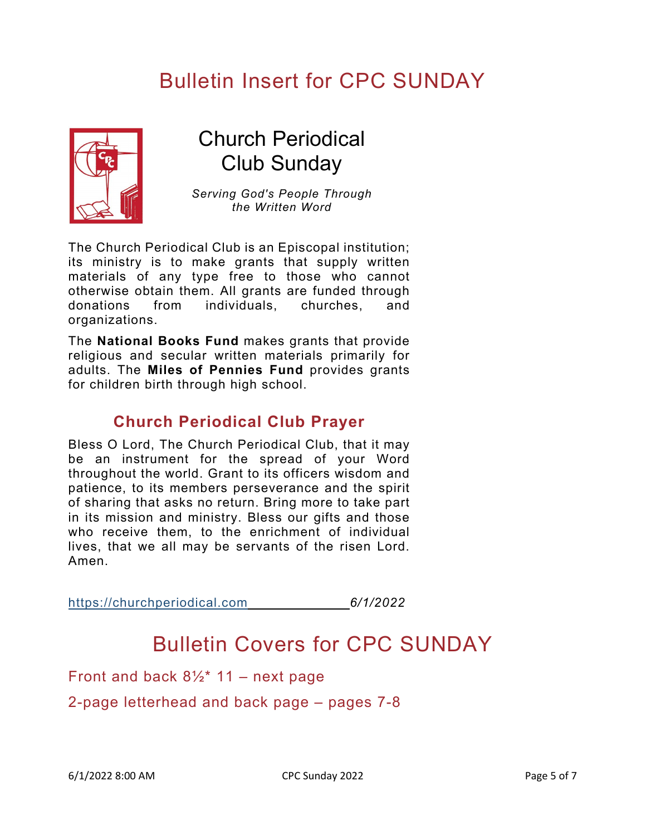## Bulletin Insert for CPC SUNDAY



## Church Periodical Club Sunday

*Serving God's People Through the Written Word*

The Church Periodical Club is an Episcopal institution; its ministry is to make grants that supply written materials of any type free to those who cannot otherwise obtain them. All grants are funded through donations from individuals, churches, and organizations.

The **[National Books Fund](https://www.churchperiodical.com/national-books-fund-history.html)** makes grants that provide religious and secular written materials primarily for adults. The **[Miles of Pennies Fund](https://www.churchperiodical.com/miles-of-pennies.html)** provides grants for children birth through high school.

#### **Church Periodical Club Prayer**

Bless O Lord, The Church Periodical Club, that it may be an instrument for the spread of your Word throughout the world. Grant to its officers wisdom and patience, to its members perseverance and the spirit of sharing that asks no return. Bring more to take part in its mission and ministry. Bless our gifts and those who receive them, to the enrichment of individual lives, that we all may be servants of the risen Lord. Amen.

[https://churchperiodical.com](https://churchperiodical.com/) *6/1/2022*

## Bulletin Covers for CPC SUNDAY

Front and back  $8\frac{1}{2}$  11 – next page

2-page letterhead and back page – pages 7-8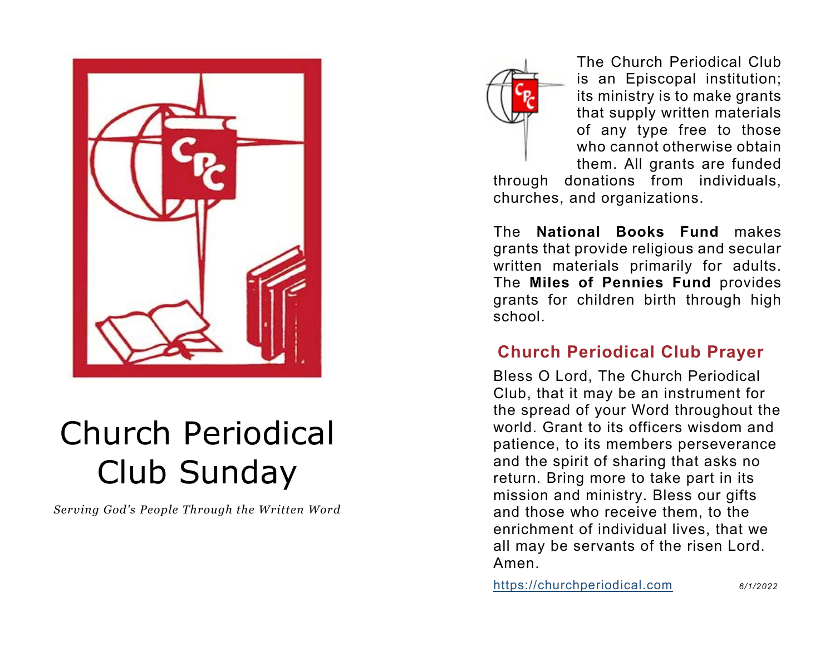

# Church Periodical Club Sunday

*Serving God's People Through the Written Word*



The Church Periodical Club is an Episcopal institution; its ministry is to make grants that supply written materials of any type free to those who cannot otherwise obtain them. All grants are funded

through donations from individuals, churches, and organizations.

The **[National Books Fund](https://www.churchperiodical.com/national-books-fund-history.html)** makes grants that provide religious and secular written materials primarily for adults. The **[Miles of Pennies Fund](https://www.churchperiodical.com/miles-of-pennies.html)** provides grants for children birth through high school.

#### **Church Periodical Club Prayer**

Bless O Lord, The Church Periodical Club, that it may be an instrument for the spread of your Word throughout the world. Grant to its officers wisdom and patience, to its members perseverance and the spirit of sharing that asks no return. Bring more to take part in its mission and ministry. Bless our gifts and those who receive them, to the enrichment of individual lives, that we all may be servants of the risen Lord. Amen.

[https://churchperiodical.com](https://churchperiodical.com/) *6/1/2022*